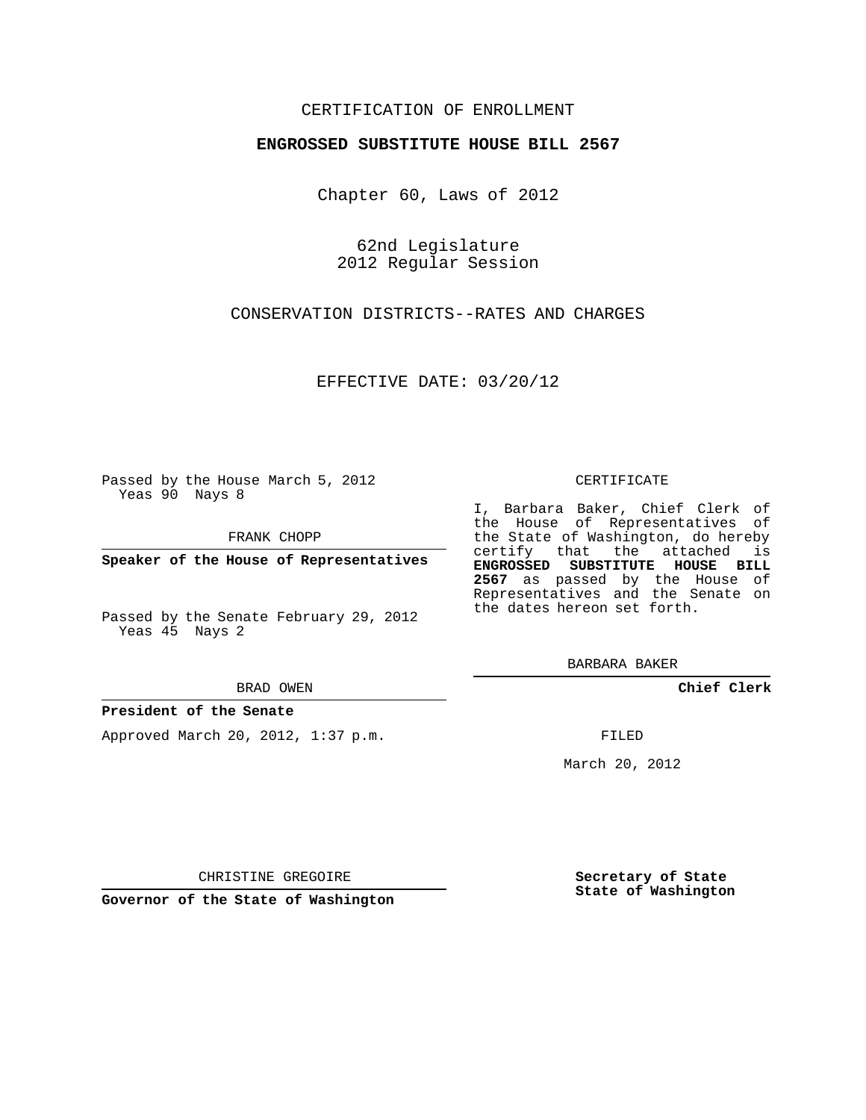## CERTIFICATION OF ENROLLMENT

## **ENGROSSED SUBSTITUTE HOUSE BILL 2567**

Chapter 60, Laws of 2012

62nd Legislature 2012 Regular Session

CONSERVATION DISTRICTS--RATES AND CHARGES

EFFECTIVE DATE: 03/20/12

Passed by the House March 5, 2012 Yeas 90 Nays 8

FRANK CHOPP

**Speaker of the House of Representatives**

Passed by the Senate February 29, 2012 Yeas 45 Nays 2

#### BRAD OWEN

## **President of the Senate**

Approved March 20, 2012, 1:37 p.m.

#### CERTIFICATE

I, Barbara Baker, Chief Clerk of the House of Representatives of the State of Washington, do hereby certify that the attached is **ENGROSSED SUBSTITUTE HOUSE BILL 2567** as passed by the House of Representatives and the Senate on the dates hereon set forth.

BARBARA BAKER

**Chief Clerk**

FILED

March 20, 2012

**Secretary of State State of Washington**

CHRISTINE GREGOIRE

**Governor of the State of Washington**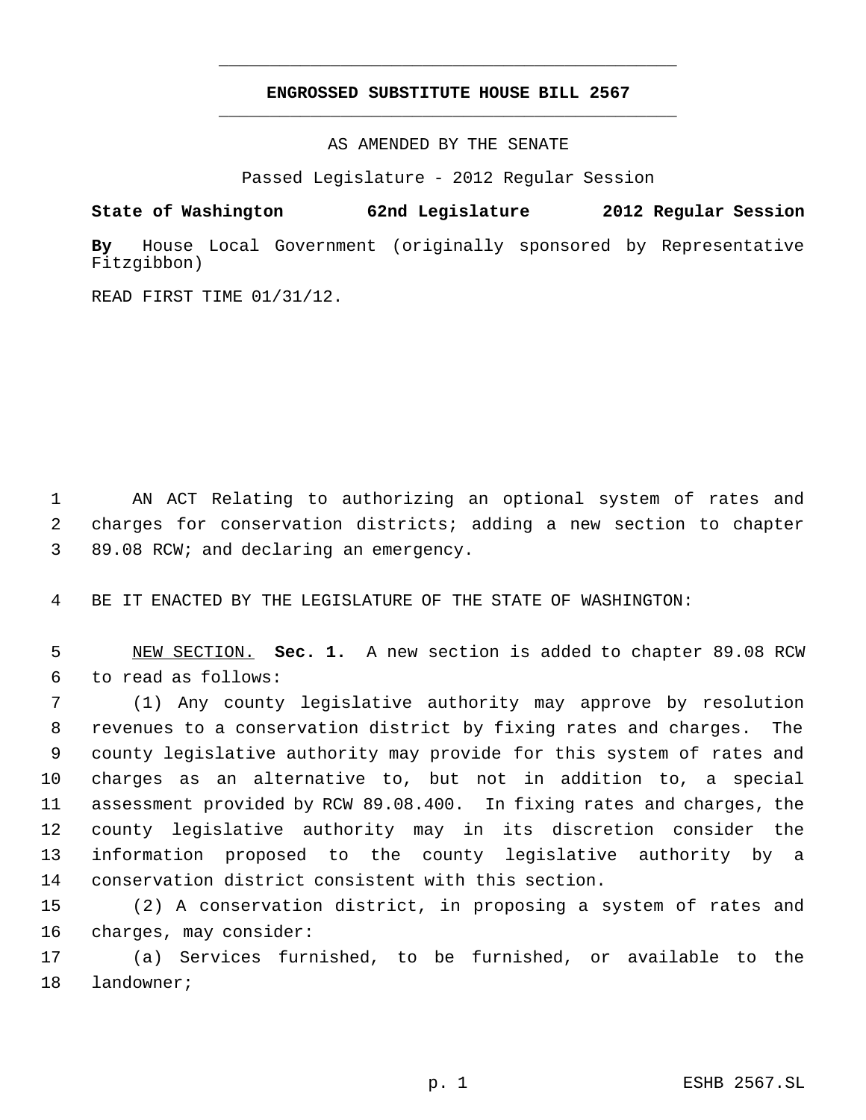# **ENGROSSED SUBSTITUTE HOUSE BILL 2567** \_\_\_\_\_\_\_\_\_\_\_\_\_\_\_\_\_\_\_\_\_\_\_\_\_\_\_\_\_\_\_\_\_\_\_\_\_\_\_\_\_\_\_\_\_

\_\_\_\_\_\_\_\_\_\_\_\_\_\_\_\_\_\_\_\_\_\_\_\_\_\_\_\_\_\_\_\_\_\_\_\_\_\_\_\_\_\_\_\_\_

AS AMENDED BY THE SENATE

Passed Legislature - 2012 Regular Session

**State of Washington 62nd Legislature 2012 Regular Session**

**By** House Local Government (originally sponsored by Representative Fitzgibbon)

READ FIRST TIME 01/31/12.

 AN ACT Relating to authorizing an optional system of rates and charges for conservation districts; adding a new section to chapter 89.08 RCW; and declaring an emergency.

BE IT ENACTED BY THE LEGISLATURE OF THE STATE OF WASHINGTON:

 NEW SECTION. **Sec. 1.** A new section is added to chapter 89.08 RCW to read as follows:

 (1) Any county legislative authority may approve by resolution revenues to a conservation district by fixing rates and charges. The county legislative authority may provide for this system of rates and charges as an alternative to, but not in addition to, a special assessment provided by RCW 89.08.400. In fixing rates and charges, the county legislative authority may in its discretion consider the information proposed to the county legislative authority by a conservation district consistent with this section.

 (2) A conservation district, in proposing a system of rates and charges, may consider:

 (a) Services furnished, to be furnished, or available to the landowner;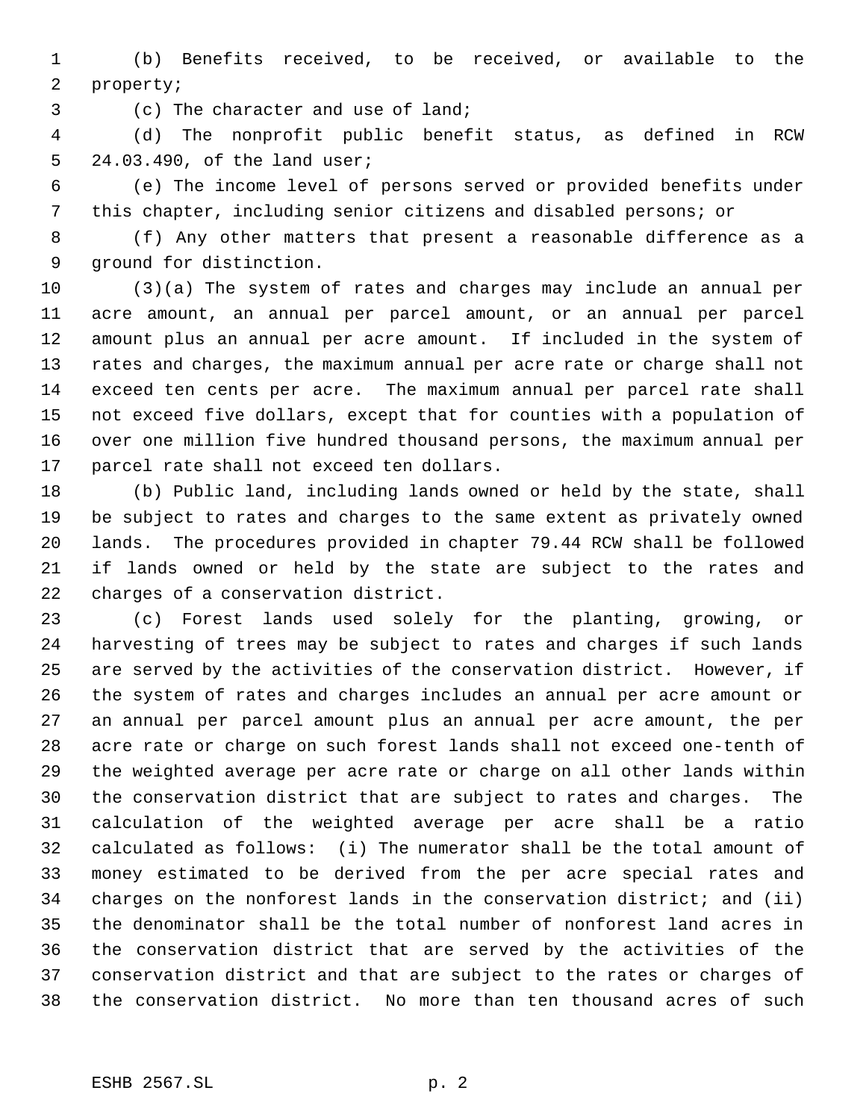(b) Benefits received, to be received, or available to the property;

(c) The character and use of land;

 (d) The nonprofit public benefit status, as defined in RCW 24.03.490, of the land user;

 (e) The income level of persons served or provided benefits under this chapter, including senior citizens and disabled persons; or

 (f) Any other matters that present a reasonable difference as a ground for distinction.

 (3)(a) The system of rates and charges may include an annual per acre amount, an annual per parcel amount, or an annual per parcel amount plus an annual per acre amount. If included in the system of rates and charges, the maximum annual per acre rate or charge shall not exceed ten cents per acre. The maximum annual per parcel rate shall not exceed five dollars, except that for counties with a population of over one million five hundred thousand persons, the maximum annual per parcel rate shall not exceed ten dollars.

 (b) Public land, including lands owned or held by the state, shall be subject to rates and charges to the same extent as privately owned lands. The procedures provided in chapter 79.44 RCW shall be followed if lands owned or held by the state are subject to the rates and charges of a conservation district.

 (c) Forest lands used solely for the planting, growing, or harvesting of trees may be subject to rates and charges if such lands are served by the activities of the conservation district. However, if the system of rates and charges includes an annual per acre amount or an annual per parcel amount plus an annual per acre amount, the per acre rate or charge on such forest lands shall not exceed one-tenth of the weighted average per acre rate or charge on all other lands within the conservation district that are subject to rates and charges. The calculation of the weighted average per acre shall be a ratio calculated as follows: (i) The numerator shall be the total amount of money estimated to be derived from the per acre special rates and charges on the nonforest lands in the conservation district; and (ii) the denominator shall be the total number of nonforest land acres in the conservation district that are served by the activities of the conservation district and that are subject to the rates or charges of the conservation district. No more than ten thousand acres of such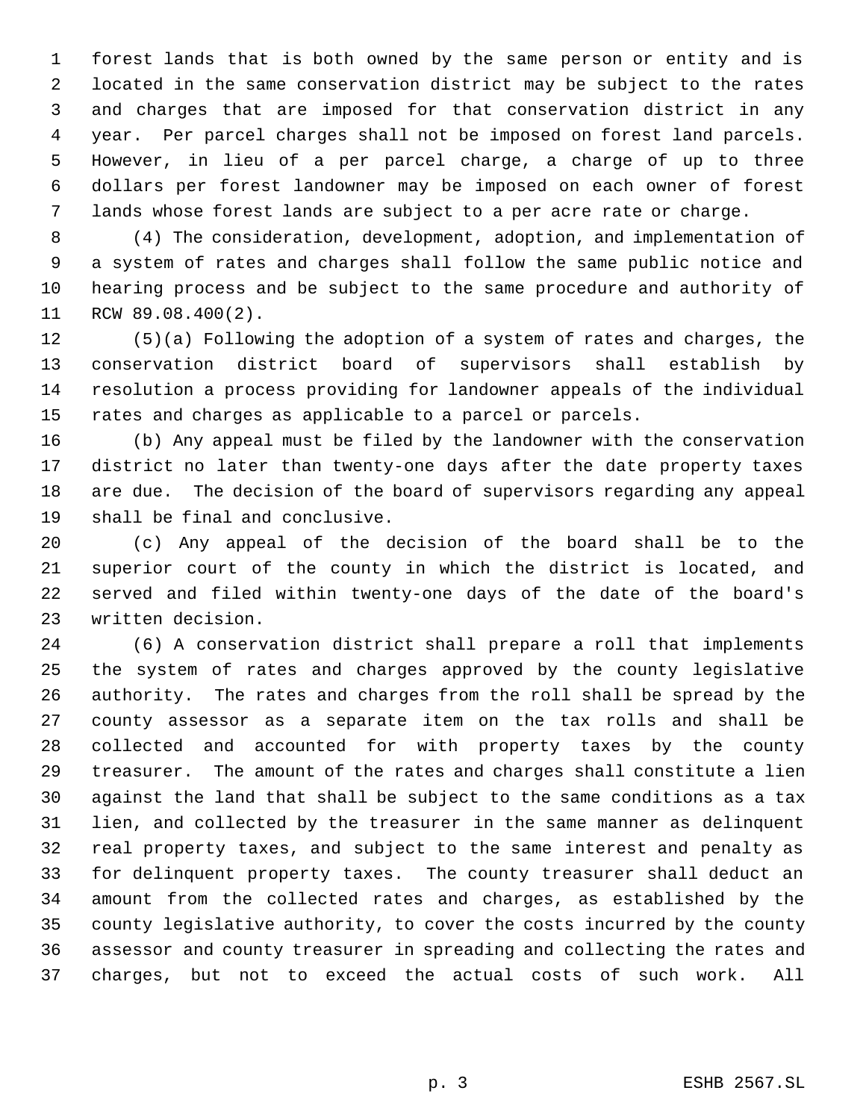forest lands that is both owned by the same person or entity and is located in the same conservation district may be subject to the rates and charges that are imposed for that conservation district in any year. Per parcel charges shall not be imposed on forest land parcels. However, in lieu of a per parcel charge, a charge of up to three dollars per forest landowner may be imposed on each owner of forest lands whose forest lands are subject to a per acre rate or charge.

 (4) The consideration, development, adoption, and implementation of a system of rates and charges shall follow the same public notice and hearing process and be subject to the same procedure and authority of RCW 89.08.400(2).

 (5)(a) Following the adoption of a system of rates and charges, the conservation district board of supervisors shall establish by resolution a process providing for landowner appeals of the individual rates and charges as applicable to a parcel or parcels.

 (b) Any appeal must be filed by the landowner with the conservation district no later than twenty-one days after the date property taxes are due. The decision of the board of supervisors regarding any appeal shall be final and conclusive.

 (c) Any appeal of the decision of the board shall be to the superior court of the county in which the district is located, and served and filed within twenty-one days of the date of the board's written decision.

 (6) A conservation district shall prepare a roll that implements the system of rates and charges approved by the county legislative authority. The rates and charges from the roll shall be spread by the county assessor as a separate item on the tax rolls and shall be collected and accounted for with property taxes by the county treasurer. The amount of the rates and charges shall constitute a lien against the land that shall be subject to the same conditions as a tax lien, and collected by the treasurer in the same manner as delinquent real property taxes, and subject to the same interest and penalty as for delinquent property taxes. The county treasurer shall deduct an amount from the collected rates and charges, as established by the county legislative authority, to cover the costs incurred by the county assessor and county treasurer in spreading and collecting the rates and charges, but not to exceed the actual costs of such work. All